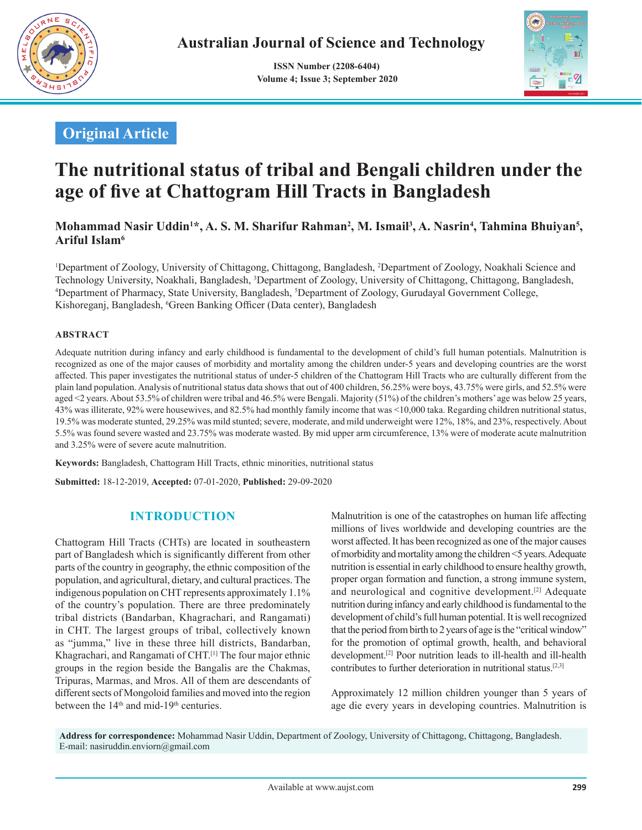

 **ISSN Number (2208-6404) Volume 4; Issue 3; September 2020**



## **Original Article**

# **The nutritional status of tribal and Bengali children under the age of five at Chattogram Hill Tracts in Bangladesh**

### **Mohammad Nasir Uddin<sup>1</sup> \*, A. S. M. Sharifur Rahman<sup>2</sup> , M. Ismail<sup>3</sup> , A. Nasrin<sup>4</sup> , Tahmina Bhuiyan<sup>5</sup> , Ariful Islam<sup>6</sup>**

1 Department of Zoology, University of Chittagong, Chittagong, Bangladesh, 2 Department of Zoology, Noakhali Science and Technology University, Noakhali, Bangladesh, <sup>3</sup>Department of Zoology, University of Chittagong, Chittagong, Bangladesh,<br><sup>4</sup>Department of Pharmacy, State University, Bangladesh, <sup>5</sup>Department of Zoology, Gurudayal Governme Department of Pharmacy, State University, Bangladesh, <sup>5</sup>Department of Zoology, Gurudayal Government College, Kishoreganj, Bangladesh, <sup>6</sup>Green Banking Officer (Data center), Bangladesh

#### **ABSTRACT**

Adequate nutrition during infancy and early childhood is fundamental to the development of child's full human potentials. Malnutrition is recognized as one of the major causes of morbidity and mortality among the children under-5 years and developing countries are the worst affected. This paper investigates the nutritional status of under-5 children of the Chattogram Hill Tracts who are culturally different from the plain land population. Analysis of nutritional status data shows that out of 400 children, 56.25% were boys, 43.75% were girls, and 52.5% were aged <2 years. About 53.5% of children were tribal and 46.5% were Bengali. Majority (51%) of the children's mothers' age was below 25 years, 43% was illiterate, 92% were housewives, and 82.5% had monthly family income that was <10,000 taka. Regarding children nutritional status, 19.5% was moderate stunted, 29.25% was mild stunted; severe, moderate, and mild underweight were 12%, 18%, and 23%, respectively. About 5.5% was found severe wasted and 23.75% was moderate wasted. By mid upper arm circumference, 13% were of moderate acute malnutrition and 3.25% were of severe acute malnutrition.

**Keywords:** Bangladesh, Chattogram Hill Tracts, ethnic minorities, nutritional status

**Submitted:** 18-12-2019, **Accepted:** 07-01-2020, **Published:** 29-09-2020

## **INTRODUCTION**

Chattogram Hill Tracts (CHTs) are located in southeastern part of Bangladesh which is significantly different from other parts of the country in geography, the ethnic composition of the population, and agricultural, dietary, and cultural practices. The indigenous population on CHT represents approximately 1.1% of the country's population. There are three predominately tribal districts (Bandarban, Khagrachari, and Rangamati) in CHT. The largest groups of tribal, collectively known as "jumma," live in these three hill districts, Bandarban, Khagrachari, and Rangamati of CHT.[1] The four major ethnic groups in the region beside the Bangalis are the Chakmas, Tripuras, Marmas, and Mros. All of them are descendants of different sects of Mongoloid families and moved into the region between the  $14<sup>th</sup>$  and mid-19<sup>th</sup> centuries.

Malnutrition is one of the catastrophes on human life affecting millions of lives worldwide and developing countries are the worst affected. It has been recognized as one of the major causes of morbidity and mortality among the children <5 years. Adequate nutrition is essential in early childhood to ensure healthy growth, proper organ formation and function, a strong immune system, and neurological and cognitive development.[2] Adequate nutrition during infancy and early childhood is fundamental to the development of child's full human potential. It is well recognized that the period from birth to 2 years of age is the "critical window" for the promotion of optimal growth, health, and behavioral development.[2] Poor nutrition leads to ill-health and ill-health contributes to further deterioration in nutritional status.[2,3]

Approximately 12 million children younger than 5 years of age die every years in developing countries. Malnutrition is

**Address for correspondence:** Mohammad Nasir Uddin, Department of Zoology, University of Chittagong, Chittagong, Bangladesh. E-mail: nasiruddin.enviorn@gmail.com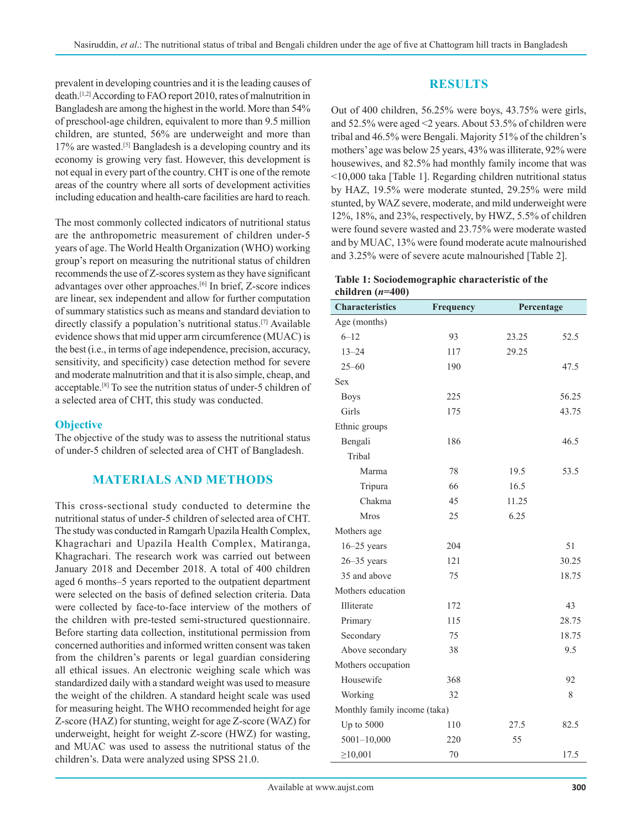prevalent in developing countries and it is the leading causes of death.[1,2] According to FAO report 2010, rates of malnutrition in Bangladesh are among the highest in the world. More than 54% of preschool-age children, equivalent to more than 9.5 million children, are stunted, 56% are underweight and more than 17% are wasted.[5] Bangladesh is a developing country and its economy is growing very fast. However, this development is not equal in every part of the country. CHT is one of the remote areas of the country where all sorts of development activities including education and health-care facilities are hard to reach.

The most commonly collected indicators of nutritional status are the anthropometric measurement of children under-5 years of age. The World Health Organization (WHO) working group's report on measuring the nutritional status of children recommends the use of Z-scores system as they have significant advantages over other approaches.[6] In brief, Z-score indices are linear, sex independent and allow for further computation of summary statistics such as means and standard deviation to directly classify a population's nutritional status.[7] Available evidence shows that mid upper arm circumference (MUAC) is the best (i.e., in terms of age independence, precision, accuracy, sensitivity, and specificity) case detection method for severe and moderate malnutrition and that it is also simple, cheap, and acceptable.[8] To see the nutrition status of under-5 children of a selected area of CHT, this study was conducted.

#### **Objective**

The objective of the study was to assess the nutritional status of under-5 children of selected area of CHT of Bangladesh.

## **MATERIALS AND METHODS**

This cross-sectional study conducted to determine the nutritional status of under-5 children of selected area of CHT. The study was conducted in Ramgarh Upazila Health Complex, Khagrachari and Upazila Health Complex, Matiranga, Khagrachari. The research work was carried out between January 2018 and December 2018. A total of 400 children aged 6 months–5 years reported to the outpatient department were selected on the basis of defined selection criteria. Data were collected by face-to-face interview of the mothers of the children with pre-tested semi-structured questionnaire. Before starting data collection, institutional permission from concerned authorities and informed written consent was taken from the children's parents or legal guardian considering all ethical issues. An electronic weighing scale which was standardized daily with a standard weight was used to measure the weight of the children. A standard height scale was used for measuring height. The WHO recommended height for age Z-score (HAZ) for stunting, weight for age Z-score (WAZ) for underweight, height for weight Z-score (HWZ) for wasting, and MUAC was used to assess the nutritional status of the children's. Data were analyzed using SPSS 21.0.

## **RESULTS**

Out of 400 children, 56.25% were boys, 43.75% were girls, and 52.5% were aged <2 years. About 53.5% of children were tribal and 46.5% were Bengali. Majority 51% of the children's mothers' age was below 25 years, 43% was illiterate, 92% were housewives, and 82.5% had monthly family income that was <10,000 taka [Table 1]. Regarding children nutritional status by HAZ, 19.5% were moderate stunted, 29.25% were mild stunted, by WAZ severe, moderate, and mild underweight were 12%, 18%, and 23%, respectively, by HWZ, 5.5% of children were found severe wasted and 23.75% were moderate wasted and by MUAC, 13% were found moderate acute malnourished and 3.25% were of severe acute malnourished [Table 2].

#### **Table 1: Sociodemographic characteristic of the children (***n***=400)**

| <b>Characteristics</b>       | Frequency | Percentage |       |  |  |
|------------------------------|-----------|------------|-------|--|--|
| Age (months)                 |           |            |       |  |  |
| $6 - 12$                     | 93        | 23.25      | 52.5  |  |  |
| $13 - 24$                    | 117       | 29.25      |       |  |  |
| $25 - 60$                    | 190       |            | 47.5  |  |  |
| <b>Sex</b>                   |           |            |       |  |  |
| <b>Boys</b>                  | 225       |            | 56.25 |  |  |
| Girls                        | 175       |            | 43.75 |  |  |
| Ethnic groups                |           |            |       |  |  |
| Bengali                      | 186       |            | 46.5  |  |  |
| Tribal                       |           |            |       |  |  |
| Marma                        | 78        | 19.5       | 53.5  |  |  |
| Tripura                      | 66        | 16.5       |       |  |  |
| Chakma                       | 45        | 11.25      |       |  |  |
| <b>Mros</b>                  | 25        | 6.25       |       |  |  |
| Mothers age                  |           |            |       |  |  |
| $16 - 25$ years              | 204       |            | 51    |  |  |
| $26 - 35$ years              | 121       |            | 30.25 |  |  |
| 35 and above                 | 75        |            | 18.75 |  |  |
| Mothers education            |           |            |       |  |  |
| Illiterate                   | 172       |            | 43    |  |  |
| Primary                      | 115       |            | 28.75 |  |  |
| Secondary                    | 75        |            | 18.75 |  |  |
| Above secondary              | 38        |            | 9.5   |  |  |
| Mothers occupation           |           |            |       |  |  |
| Housewife                    | 368       |            | 92    |  |  |
| Working                      | 32        |            | 8     |  |  |
| Monthly family income (taka) |           |            |       |  |  |
| Up to 5000                   | 110       | 27.5       | 82.5  |  |  |
| $5001 - 10,000$              | 220       | 55         |       |  |  |
| $\geq 10,001$                | 70        |            | 17.5  |  |  |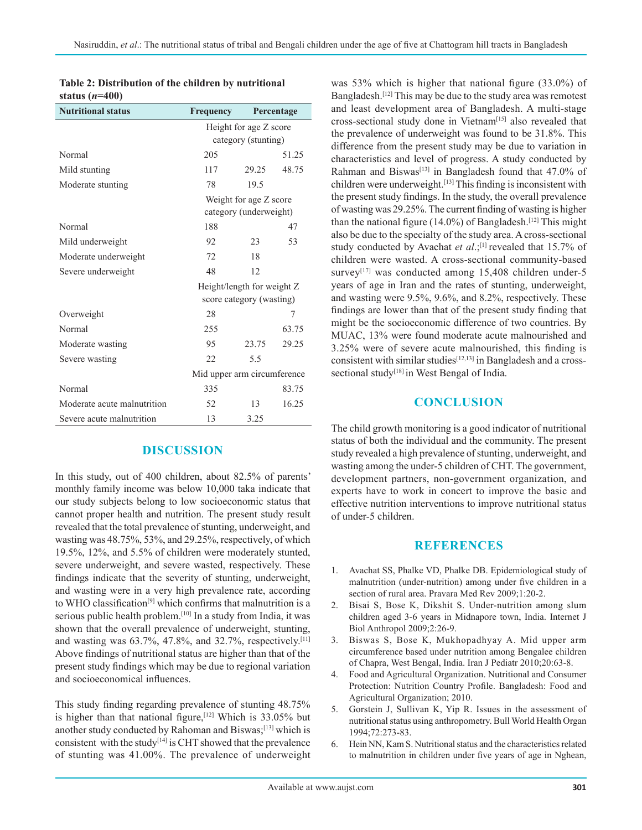| <b>Nutritional status</b>   | Frequency                   |       | Percentage |
|-----------------------------|-----------------------------|-------|------------|
|                             | Height for age Z score      |       |            |
|                             | category (stunting)         |       |            |
| Normal                      | 205                         |       | 51.25      |
| Mild stunting               | 117                         | 29.25 | 48.75      |
| Moderate stunting           | 78                          | 19.5  |            |
|                             | Weight for age Z score      |       |            |
|                             | category (underweight)      |       |            |
| Normal                      | 188                         |       | 47         |
| Mild underweight            | 92                          | 23    | 53         |
| Moderate underweight        | 72                          | 18    |            |
| Severe underweight          | 48                          | 12    |            |
|                             | Height/length for weight Z  |       |            |
|                             | score category (wasting)    |       |            |
| Overweight                  | 28                          |       | 7          |
| Normal                      | 255                         |       | 63.75      |
| Moderate wasting            | 95                          | 23.75 | 29.25      |
| Severe wasting              | 22                          | 5.5   |            |
|                             | Mid upper arm circumference |       |            |
| Normal                      | 335                         |       | 83.75      |
| Moderate acute malnutrition | 52                          | 13    | 16.25      |
| Severe acute malnutrition   | 13                          | 3.25  |            |

| Table 2: Distribution of the children by nutritional |  |  |
|------------------------------------------------------|--|--|
| status $(n=400)$                                     |  |  |

## **DISCUSSION**

In this study, out of 400 children, about 82.5% of parents' monthly family income was below 10,000 taka indicate that our study subjects belong to low socioeconomic status that cannot proper health and nutrition. The present study result revealed that the total prevalence of stunting, underweight, and wasting was 48.75%, 53%, and 29.25%, respectively, of which 19.5%, 12%, and 5.5% of children were moderately stunted, severe underweight, and severe wasted, respectively. These findings indicate that the severity of stunting, underweight, and wasting were in a very high prevalence rate, according to WHO classification<sup>[9]</sup> which confirms that malnutrition is a serious public health problem.<sup>[10]</sup> In a study from India, it was shown that the overall prevalence of underweight, stunting, and wasting was  $63.7\%$ ,  $47.8\%$ , and  $32.7\%$ , respectively.<sup>[11]</sup> Above findings of nutritional status are higher than that of the present study findings which may be due to regional variation and socioeconomical influences.

This study finding regarding prevalence of stunting 48.75% is higher than that national figure,  $[12]$  Which is 33.05% but another study conducted by Rahoman and Biswas;[13] which is consistent with the study<sup>[14]</sup> is CHT showed that the prevalence of stunting was 41.00%. The prevalence of underweight was 53% which is higher that national figure (33.0%) of Bangladesh.[12] This may be due to the study area was remotest and least development area of Bangladesh. A multi-stage cross-sectional study done in Vietnam<sup>[15]</sup> also revealed that the prevalence of underweight was found to be 31.8%. This difference from the present study may be due to variation in characteristics and level of progress. A study conducted by Rahman and Biswas<sup>[13]</sup> in Bangladesh found that 47.0% of children were underweight.<sup>[13]</sup> This finding is inconsistent with the present study findings. In the study, the overall prevalence of wasting was 29.25%. The current finding of wasting is higher than the national figure (14.0%) of Bangladesh.<sup>[12]</sup> This might also be due to the specialty of the study area. A cross-sectional study conducted by Avachat et al.;<sup>[1]</sup> revealed that 15.7% of children were wasted. A cross-sectional community-based survey<sup>[17]</sup> was conducted among  $15,408$  children under-5 years of age in Iran and the rates of stunting, underweight, and wasting were 9.5%, 9.6%, and 8.2%, respectively. These findings are lower than that of the present study finding that might be the socioeconomic difference of two countries. By MUAC, 13% were found moderate acute malnourished and 3.25% were of severe acute malnourished, this finding is consistent with similar studies[12,13] in Bangladesh and a crosssectional study<sup>[18]</sup> in West Bengal of India.

#### **CONCLUSION**

The child growth monitoring is a good indicator of nutritional status of both the individual and the community. The present study revealed a high prevalence of stunting, underweight, and wasting among the under-5 children of CHT. The government, development partners, non-government organization, and experts have to work in concert to improve the basic and effective nutrition interventions to improve nutritional status of under-5 children.

#### **REFERENCES**

- 1. Avachat SS, Phalke VD, Phalke DB. Epidemiological study of malnutrition (under-nutrition) among under five children in a section of rural area. Pravara Med Rev 2009;1:20-2.
- 2. Bisai S, Bose K, Dikshit S. Under-nutrition among slum children aged 3-6 years in Midnapore town, India. Internet J Biol Anthropol 2009;2:26-9.
- 3. Biswas S, Bose K, Mukhopadhyay A. Mid upper arm circumference based under nutrition among Bengalee children of Chapra, West Bengal, India. Iran J Pediatr 2010;20:63-8.
- 4. Food and Agricultural Organization. Nutritional and Consumer Protection: Nutrition Country Profile. Bangladesh: Food and Agricultural Organization; 2010.
- 5. Gorstein J, Sullivan K, Yip R. Issues in the assessment of nutritional status using anthropometry. Bull World Health Organ 1994;72:273-83.
- 6. Hein NN, Kam S. Nutritional status and the characteristics related to malnutrition in children under five years of age in Nghean,